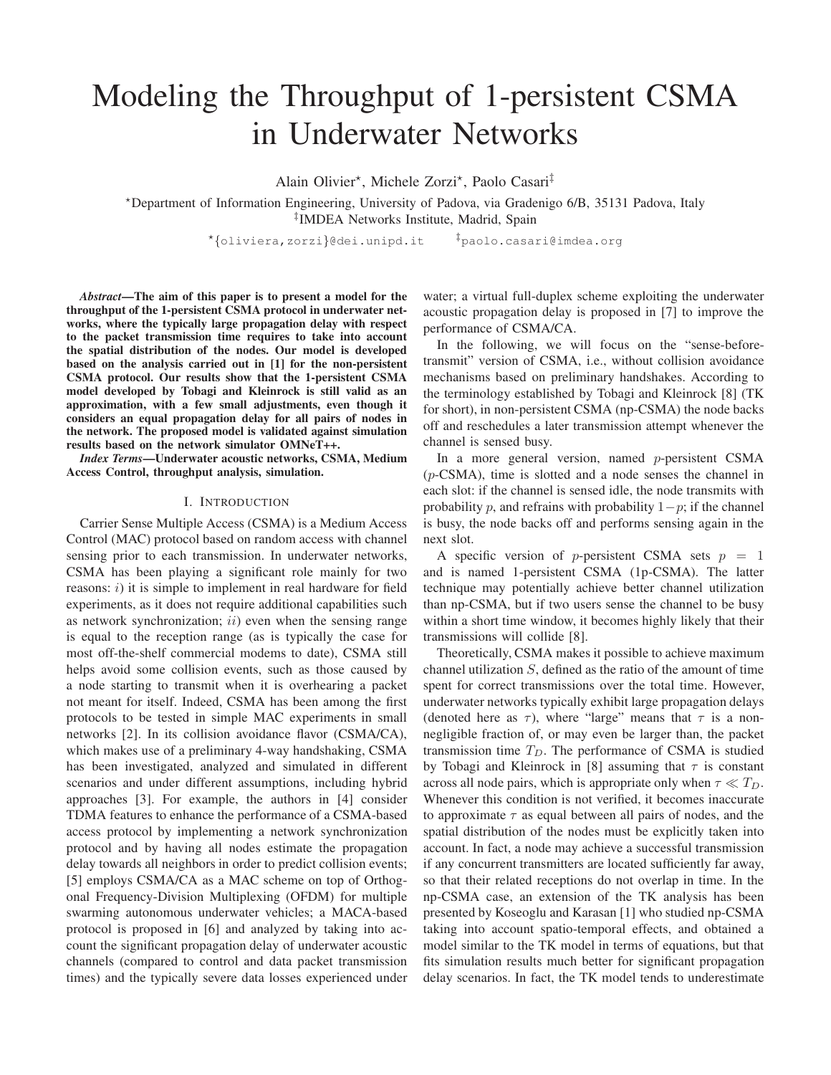# Modeling the Throughput of 1-persistent CSMA in Underwater Networks

Alain Olivier\*, Michele Zorzi\*, Paolo Casari<sup>‡</sup>

<sup>⋆</sup>Department of Information Engineering, University of Padova, via Gradenigo 6/B, 35131 Padova, Italy ‡ IMDEA Networks Institute, Madrid, Spain

⋆ {oliviera,zorzi}@dei.unipd.it ‡paolo.casari@imdea.org

*Abstract*—The aim of this paper is to present a model for the throughput of the 1-persistent CSMA protocol in underwater networks, where the typically large propagation delay with respect to the packet transmission time requires to take into account the spatial distribution of the nodes. Our model is developed based on the analysis carried out in [1] for the non-persistent CSMA protocol. Our results show that the 1-persistent CSMA model developed by Tobagi and Kleinrock is still valid as an approximation, with a few small adjustments, even though it considers an equal propagation delay for all pairs of nodes in the network. The proposed model is validated against simulation results based on the network simulator OMNeT++.

*Index Terms*—Underwater acoustic networks, CSMA, Medium Access Control, throughput analysis, simulation.

## I. INTRODUCTION

Carrier Sense Multiple Access (CSMA) is a Medium Access Control (MAC) protocol based on random access with channel sensing prior to each transmission. In underwater networks, CSMA has been playing a significant role mainly for two reasons:  $i)$  it is simple to implement in real hardware for field experiments, as it does not require additional capabilities such as network synchronization;  $ii)$  even when the sensing range is equal to the reception range (as is typically the case for most off-the-shelf commercial modems to date), CSMA still helps avoid some collision events, such as those caused by a node starting to transmit when it is overhearing a packet not meant for itself. Indeed, CSMA has been among the first protocols to be tested in simple MAC experiments in small networks [2]. In its collision avoidance flavor (CSMA/CA), which makes use of a preliminary 4-way handshaking, CSMA has been investigated, analyzed and simulated in different scenarios and under different assumptions, including hybrid approaches [3]. For example, the authors in [4] consider TDMA features to enhance the performance of a CSMA-based access protocol by implementing a network synchronization protocol and by having all nodes estimate the propagation delay towards all neighbors in order to predict collision events; [5] employs CSMA/CA as a MAC scheme on top of Orthogonal Frequency-Division Multiplexing (OFDM) for multiple swarming autonomous underwater vehicles; a MACA-based protocol is proposed in [6] and analyzed by taking into account the significant propagation delay of underwater acoustic channels (compared to control and data packet transmission times) and the typically severe data losses experienced under

water; a virtual full-duplex scheme exploiting the underwater acoustic propagation delay is proposed in [7] to improve the performance of CSMA/CA.

In the following, we will focus on the "sense-beforetransmit" version of CSMA, i.e., without collision avoidance mechanisms based on preliminary handshakes. According to the terminology established by Tobagi and Kleinrock [8] (TK for short), in non-persistent CSMA (np-CSMA) the node backs off and reschedules a later transmission attempt whenever the channel is sensed busy.

In a more general version, named p-persistent CSMA  $(p$ -CSMA), time is slotted and a node senses the channel in each slot: if the channel is sensed idle, the node transmits with probability p, and refrains with probability  $1-p$ ; if the channel is busy, the node backs off and performs sensing again in the next slot.

A specific version of p-persistent CSMA sets  $p = 1$ and is named 1-persistent CSMA (1p-CSMA). The latter technique may potentially achieve better channel utilization than np-CSMA, but if two users sense the channel to be busy within a short time window, it becomes highly likely that their transmissions will collide [8].

Theoretically, CSMA makes it possible to achieve maximum channel utilization S, defined as the ratio of the amount of time spent for correct transmissions over the total time. However, underwater networks typically exhibit large propagation delays (denoted here as  $\tau$ ), where "large" means that  $\tau$  is a nonnegligible fraction of, or may even be larger than, the packet transmission time  $T_D$ . The performance of CSMA is studied by Tobagi and Kleinrock in [8] assuming that  $\tau$  is constant across all node pairs, which is appropriate only when  $\tau \ll T_D$ . Whenever this condition is not verified, it becomes inaccurate to approximate  $\tau$  as equal between all pairs of nodes, and the spatial distribution of the nodes must be explicitly taken into account. In fact, a node may achieve a successful transmission if any concurrent transmitters are located sufficiently far away, so that their related receptions do not overlap in time. In the np-CSMA case, an extension of the TK analysis has been presented by Koseoglu and Karasan [1] who studied np-CSMA taking into account spatio-temporal effects, and obtained a model similar to the TK model in terms of equations, but that fits simulation results much better for significant propagation delay scenarios. In fact, the TK model tends to underestimate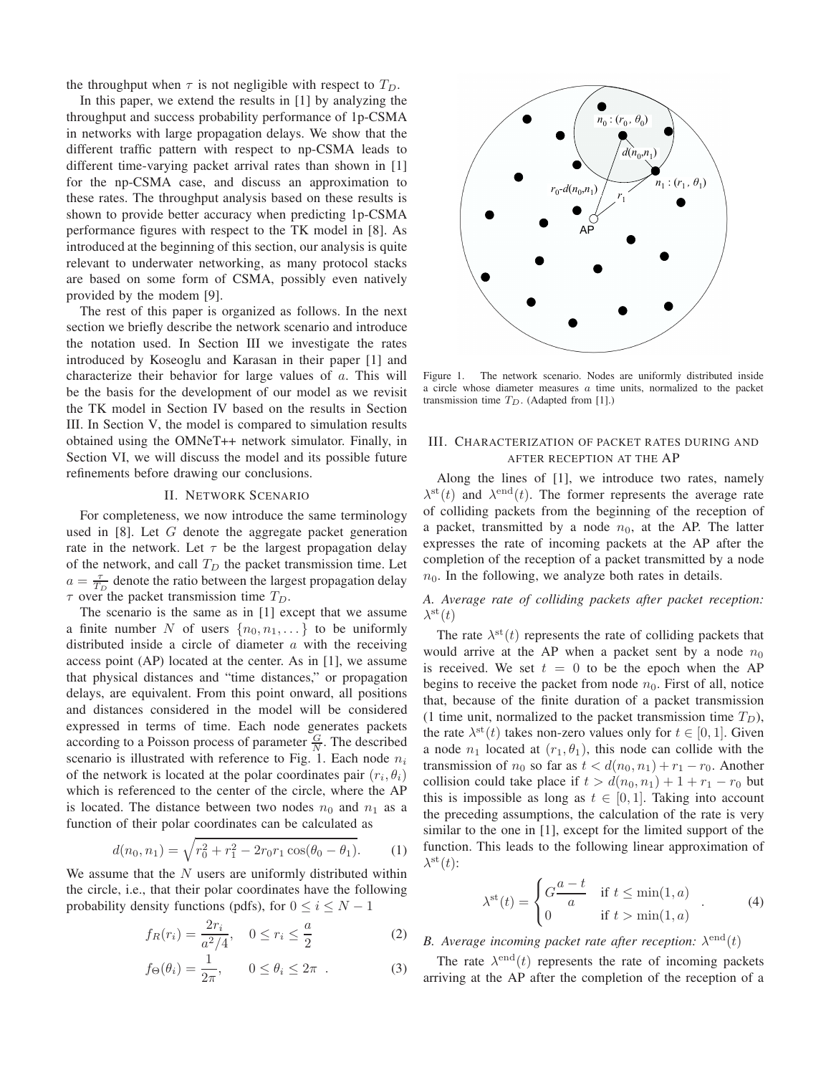the throughput when  $\tau$  is not negligible with respect to  $T_D$ .

In this paper, we extend the results in [1] by analyzing the throughput and success probability performance of 1p-CSMA in networks with large propagation delays. We show that the different traffic pattern with respect to np-CSMA leads to different time-varying packet arrival rates than shown in [1] for the np-CSMA case, and discuss an approximation to these rates. The throughput analysis based on these results is shown to provide better accuracy when predicting 1p-CSMA performance figures with respect to the TK model in [8]. As introduced at the beginning of this section, our analysis is quite relevant to underwater networking, as many protocol stacks are based on some form of CSMA, possibly even natively provided by the modem [9].

The rest of this paper is organized as follows. In the next section we briefly describe the network scenario and introduce the notation used. In Section III we investigate the rates introduced by Koseoglu and Karasan in their paper [1] and characterize their behavior for large values of a. This will be the basis for the development of our model as we revisit the TK model in Section IV based on the results in Section III. In Section V, the model is compared to simulation results obtained using the OMNeT++ network simulator. Finally, in Section VI, we will discuss the model and its possible future refinements before drawing our conclusions.

## II. NETWORK SCENARIO

For completeness, we now introduce the same terminology used in [8]. Let G denote the aggregate packet generation rate in the network. Let  $\tau$  be the largest propagation delay of the network, and call  $T_D$  the packet transmission time. Let  $a = \frac{\tau}{T_D}$  denote the ratio between the largest propagation delay  $\tau$  over the packet transmission time  $T_D$ .

The scenario is the same as in [1] except that we assume a finite number N of users  $\{n_0, n_1, \dots\}$  to be uniformly distributed inside a circle of diameter  $a$  with the receiving access point (AP) located at the center. As in [1], we assume that physical distances and "time distances," or propagation delays, are equivalent. From this point onward, all positions and distances considered in the model will be considered expressed in terms of time. Each node generates packets according to a Poisson process of parameter  $\frac{G}{N}$ . The described scenario is illustrated with reference to Fig. 1. Each node  $n_i$ of the network is located at the polar coordinates pair  $(r_i, \theta_i)$ which is referenced to the center of the circle, where the AP is located. The distance between two nodes  $n_0$  and  $n_1$  as a function of their polar coordinates can be calculated as

$$
d(n_0, n_1) = \sqrt{r_0^2 + r_1^2 - 2r_0r_1\cos(\theta_0 - \theta_1)}.
$$
 (1)

We assume that the  $N$  users are uniformly distributed within the circle, i.e., that their polar coordinates have the following probability density functions (pdfs), for  $0 \le i \le N - 1$ 

$$
f_R(r_i) = \frac{2r_i}{a^2/4}, \quad 0 \le r_i \le \frac{a}{2}
$$
 (2)

$$
f_{\Theta}(\theta_i) = \frac{1}{2\pi}, \qquad 0 \le \theta_i \le 2\pi \quad . \tag{3}
$$



Figure 1. The network scenario. Nodes are uniformly distributed inside a circle whose diameter measures a time units, normalized to the packet transmission time  $T_D$ . (Adapted from [1].)

## III. CHARACTERIZATION OF PACKET RATES DURING AND AFTER RECEPTION AT THE AP

Along the lines of [1], we introduce two rates, namely  $\lambda^{\text{st}}(t)$  and  $\lambda^{\text{end}}(t)$ . The former represents the average rate of colliding packets from the beginning of the reception of a packet, transmitted by a node  $n_0$ , at the AP. The latter expresses the rate of incoming packets at the AP after the completion of the reception of a packet transmitted by a node  $n_0$ . In the following, we analyze both rates in details.

*A. Average rate of colliding packets after packet reception:*  $\lambda^{\rm st}(t)$ 

The rate  $\lambda^{\rm st}(t)$  represents the rate of colliding packets that would arrive at the AP when a packet sent by a node  $n_0$ is received. We set  $t = 0$  to be the epoch when the AP begins to receive the packet from node  $n_0$ . First of all, notice that, because of the finite duration of a packet transmission (1 time unit, normalized to the packet transmission time  $T_D$ ), the rate  $\lambda^{\rm st}(t)$  takes non-zero values only for  $t \in [0,1]$ . Given a node  $n_1$  located at  $(r_1, \theta_1)$ , this node can collide with the transmission of  $n_0$  so far as  $t < d(n_0, n_1) + r_1 - r_0$ . Another collision could take place if  $t > d(n_0, n_1) + 1 + r_1 - r_0$  but this is impossible as long as  $t \in [0,1]$ . Taking into account the preceding assumptions, the calculation of the rate is very similar to the one in [1], except for the limited support of the function. This leads to the following linear approximation of  $\lambda^{\rm st}(t)$ :

$$
\lambda^{\text{st}}(t) = \begin{cases} G\frac{a-t}{a} & \text{if } t \le \min(1, a) \\ 0 & \text{if } t > \min(1, a) \end{cases} . \tag{4}
$$

# B. Average incoming packet rate after reception:  $\lambda^{\text{end}}(t)$

The rate  $\lambda^{\text{end}}(t)$  represents the rate of incoming packets arriving at the AP after the completion of the reception of a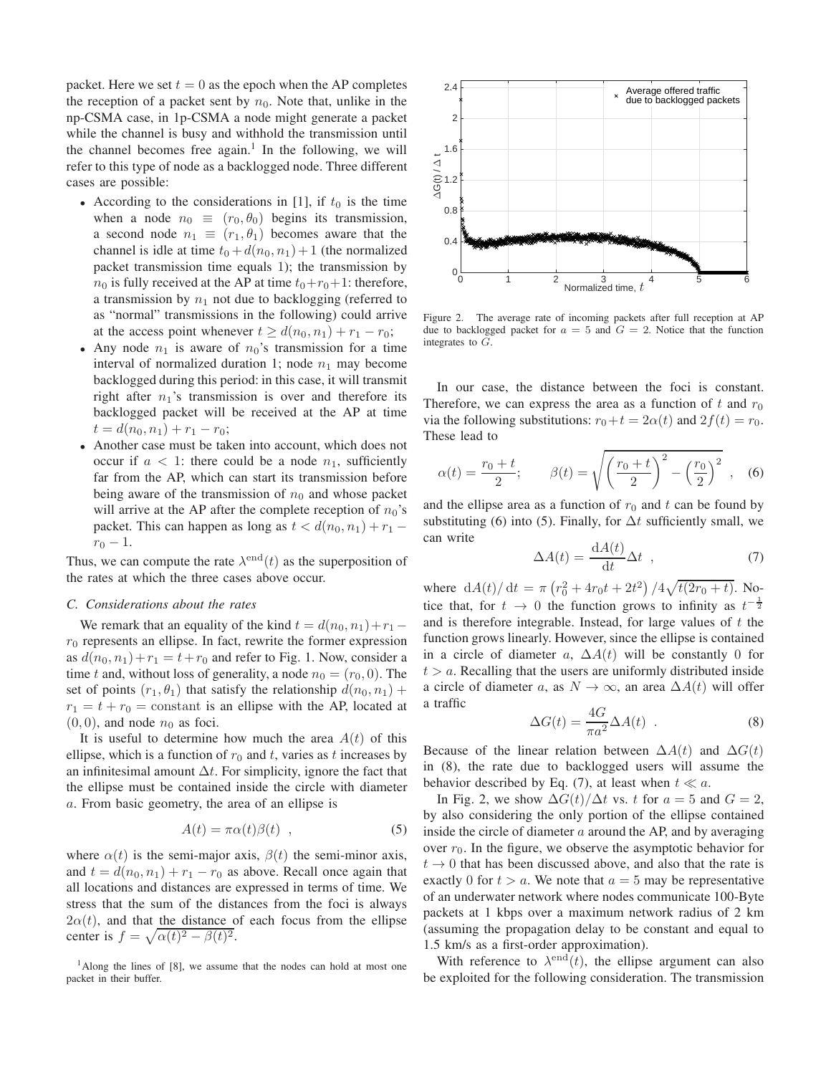packet. Here we set  $t = 0$  as the epoch when the AP completes the reception of a packet sent by  $n_0$ . Note that, unlike in the np-CSMA case, in 1p-CSMA a node might generate a packet while the channel is busy and withhold the transmission until the channel becomes free again.<sup>1</sup> In the following, we will refer to this type of node as a backlogged node. Three different cases are possible:

- According to the considerations in [1], if  $t_0$  is the time when a node  $n_0 \equiv (r_0, \theta_0)$  begins its transmission, a second node  $n_1 \equiv (r_1, \theta_1)$  becomes aware that the channel is idle at time  $t_0 + d(n_0, n_1) + 1$  (the normalized packet transmission time equals 1); the transmission by  $n_0$  is fully received at the AP at time  $t_0+r_0+1$ : therefore, a transmission by  $n_1$  not due to backlogging (referred to as "normal" transmissions in the following) could arrive at the access point whenever  $t \geq d(n_0, n_1) + r_1 - r_0$ ;
- Any node  $n_1$  is aware of  $n_0$ 's transmission for a time interval of normalized duration 1; node  $n_1$  may become backlogged during this period: in this case, it will transmit right after  $n_1$ 's transmission is over and therefore its backlogged packet will be received at the AP at time  $t = d(n_0, n_1) + r_1 - r_0;$
- Another case must be taken into account, which does not occur if  $a < 1$ : there could be a node  $n_1$ , sufficiently far from the AP, which can start its transmission before being aware of the transmission of  $n_0$  and whose packet will arrive at the AP after the complete reception of  $n_0$ 's packet. This can happen as long as  $t < d(n_0, n_1) + r_1 r_0 - 1.$

Thus, we can compute the rate  $\lambda^{\text{end}}(t)$  as the superposition of the rates at which the three cases above occur.

#### *C. Considerations about the rates*

We remark that an equality of the kind  $t = d(n_0, n_1) + r_1$  $r_0$  represents an ellipse. In fact, rewrite the former expression as  $d(n_0, n_1) + r_1 = t + r_0$  and refer to Fig. 1. Now, consider a time t and, without loss of generality, a node  $n_0 = (r_0, 0)$ . The set of points  $(r_1, \theta_1)$  that satisfy the relationship  $d(n_0, n_1)$  +  $r_1 = t + r_0 = constant$  is an ellipse with the AP, located at  $(0, 0)$ , and node  $n_0$  as foci.

It is useful to determine how much the area  $A(t)$  of this ellipse, which is a function of  $r_0$  and t, varies as t increases by an infinitesimal amount  $\Delta t$ . For simplicity, ignore the fact that the ellipse must be contained inside the circle with diameter a. From basic geometry, the area of an ellipse is

$$
A(t) = \pi \alpha(t) \beta(t) \quad , \tag{5}
$$

where  $\alpha(t)$  is the semi-major axis,  $\beta(t)$  the semi-minor axis, and  $t = d(n_0, n_1) + r_1 - r_0$  as above. Recall once again that all locations and distances are expressed in terms of time. We stress that the sum of the distances from the foci is always  $2\alpha(t)$ , and that the distance of each focus from the ellipse center is  $f = \sqrt{\alpha(t)^2 - \beta(t)^2}$ .

<sup>1</sup>Along the lines of [8], we assume that the nodes can hold at most one packet in their buffer.



Figure 2. The average rate of incoming packets after full reception at AP due to backlogged packet for  $a = 5$  and  $G = 2$ . Notice that the function integrates to G.

In our case, the distance between the foci is constant. Therefore, we can express the area as a function of  $t$  and  $r_0$ via the following substitutions:  $r_0+t = 2\alpha(t)$  and  $2f(t) = r_0$ . These lead to

$$
\alpha(t) = \frac{r_0 + t}{2}; \qquad \beta(t) = \sqrt{\left(\frac{r_0 + t}{2}\right)^2 - \left(\frac{r_0}{2}\right)^2}, \quad (6)
$$

and the ellipse area as a function of  $r_0$  and t can be found by substituting (6) into (5). Finally, for  $\Delta t$  sufficiently small, we can write

$$
\Delta A(t) = \frac{\mathrm{d}A(t)}{\mathrm{d}t} \Delta t \quad , \tag{7}
$$

where  $dA(t)/dt = \pi (r_0^2 + 4r_0t + 2t^2)/4\sqrt{t(2r_0 + t)}$ . Notice that, for  $t \to 0$  the function grows to infinity as  $t^{-\frac{1}{2}}$ and is therefore integrable. Instead, for large values of  $t$  the function grows linearly. However, since the ellipse is contained in a circle of diameter a,  $\Delta A(t)$  will be constantly 0 for  $t > a$ . Recalling that the users are uniformly distributed inside a circle of diameter a, as  $N \to \infty$ , an area  $\Delta A(t)$  will offer a traffic

$$
\Delta G(t) = \frac{4G}{\pi a^2} \Delta A(t) \quad . \tag{8}
$$

Because of the linear relation between  $\Delta A(t)$  and  $\Delta G(t)$ in (8), the rate due to backlogged users will assume the behavior described by Eq. (7), at least when  $t \ll a$ .

In Fig. 2, we show  $\Delta G(t)/\Delta t$  vs. t for  $a = 5$  and  $G = 2$ , by also considering the only portion of the ellipse contained inside the circle of diameter  $a$  around the AP, and by averaging over  $r_0$ . In the figure, we observe the asymptotic behavior for  $t \rightarrow 0$  that has been discussed above, and also that the rate is exactly 0 for  $t > a$ . We note that  $a = 5$  may be representative of an underwater network where nodes communicate 100-Byte packets at 1 kbps over a maximum network radius of 2 km (assuming the propagation delay to be constant and equal to 1.5 km/s as a first-order approximation).

With reference to  $\lambda^{\text{end}}(t)$ , the ellipse argument can also be exploited for the following consideration. The transmission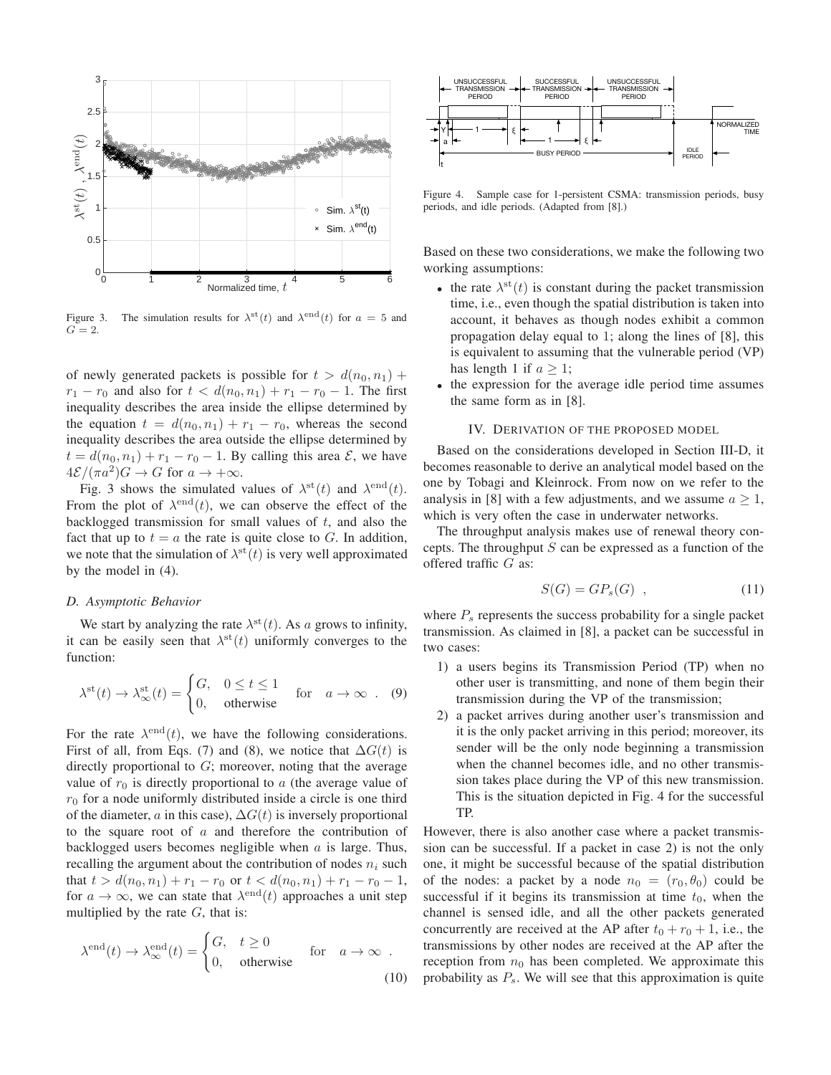

Figure 3. The simulation results for  $\lambda^{\text{st}}(t)$  and  $\lambda^{\text{end}}(t)$  for  $a = 5$  and  $G=2.$ 

of newly generated packets is possible for  $t > d(n_0, n_1)$  +  $r_1 - r_0$  and also for  $t < d(n_0, n_1) + r_1 - r_0 - 1$ . The first inequality describes the area inside the ellipse determined by the equation  $t = d(n_0, n_1) + r_1 - r_0$ , whereas the second inequality describes the area outside the ellipse determined by  $t = d(n_0, n_1) + r_1 - r_0 - 1$ . By calling this area  $\mathcal{E}$ , we have  $4\mathcal{E}/(\pi a^2)G \to G$  for  $a \to +\infty$ .

Fig. 3 shows the simulated values of  $\lambda^{\text{st}}(t)$  and  $\lambda^{\text{end}}(t)$ . From the plot of  $\lambda^{\text{end}}(t)$ , we can observe the effect of the backlogged transmission for small values of  $t$ , and also the fact that up to  $t = a$  the rate is quite close to G. In addition, we note that the simulation of  $\lambda^{\text{st}}(t)$  is very well approximated by the model in (4).

## *D. Asymptotic Behavior*

We start by analyzing the rate  $\lambda^{\text{st}}(t)$ . As a grows to infinity, it can be easily seen that  $\lambda^{st}(t)$  uniformly converges to the function:

$$
\lambda^{\text{st}}(t) \to \lambda^{\text{st}}_{\infty}(t) = \begin{cases} G, & 0 \le t \le 1 \\ 0, & \text{otherwise} \end{cases} \quad \text{for} \quad a \to \infty . \quad (9)
$$

For the rate  $\lambda^{\text{end}}(t)$ , we have the following considerations. First of all, from Eqs. (7) and (8), we notice that  $\Delta G(t)$  is directly proportional to G; moreover, noting that the average value of  $r_0$  is directly proportional to a (the average value of  $r_0$  for a node uniformly distributed inside a circle is one third of the diameter, a in this case),  $\Delta G(t)$  is inversely proportional to the square root of a and therefore the contribution of backlogged users becomes negligible when  $a$  is large. Thus, recalling the argument about the contribution of nodes  $n_i$  such that  $t > d(n_0, n_1) + r_1 - r_0$  or  $t < d(n_0, n_1) + r_1 - r_0 - 1$ , for  $a \to \infty$ , we can state that  $\lambda^{\text{end}}(t)$  approaches a unit step multiplied by the rate  $G$ , that is:

$$
\lambda^{\text{end}}(t) \to \lambda^{\text{end}}_{\infty}(t) = \begin{cases} G, & t \ge 0 \\ 0, & \text{otherwise} \end{cases} \quad \text{for} \quad a \to \infty \tag{10}
$$



Figure 4. Sample case for 1-persistent CSMA: transmission periods, busy periods, and idle periods. (Adapted from [8].)

Based on these two considerations, we make the following two working assumptions:

- the rate  $\lambda^{\text{st}}(t)$  is constant during the packet transmission time, i.e., even though the spatial distribution is taken into account, it behaves as though nodes exhibit a common propagation delay equal to 1; along the lines of [8], this is equivalent to assuming that the vulnerable period (VP) has length 1 if  $a > 1$ ;
- the expression for the average idle period time assumes the same form as in [8].

#### IV. DERIVATION OF THE PROPOSED MODEL

Based on the considerations developed in Section III-D, it becomes reasonable to derive an analytical model based on the one by Tobagi and Kleinrock. From now on we refer to the analysis in [8] with a few adjustments, and we assume  $a \geq 1$ , which is very often the case in underwater networks.

The throughput analysis makes use of renewal theory concepts. The throughput  $S$  can be expressed as a function of the offered traffic G as:

$$
S(G) = GP_s(G) \quad , \tag{11}
$$

where  $P<sub>s</sub>$  represents the success probability for a single packet transmission. As claimed in [8], a packet can be successful in two cases:

- 1) a users begins its Transmission Period (TP) when no other user is transmitting, and none of them begin their transmission during the VP of the transmission;
- 2) a packet arrives during another user's transmission and it is the only packet arriving in this period; moreover, its sender will be the only node beginning a transmission when the channel becomes idle, and no other transmission takes place during the VP of this new transmission. This is the situation depicted in Fig. 4 for the successful TP.

However, there is also another case where a packet transmission can be successful. If a packet in case 2) is not the only one, it might be successful because of the spatial distribution of the nodes: a packet by a node  $n_0 = (r_0, \theta_0)$  could be successful if it begins its transmission at time  $t_0$ , when the channel is sensed idle, and all the other packets generated concurrently are received at the AP after  $t_0 + r_0 + 1$ , i.e., the transmissions by other nodes are received at the AP after the reception from  $n_0$  has been completed. We approximate this probability as  $P_s$ . We will see that this approximation is quite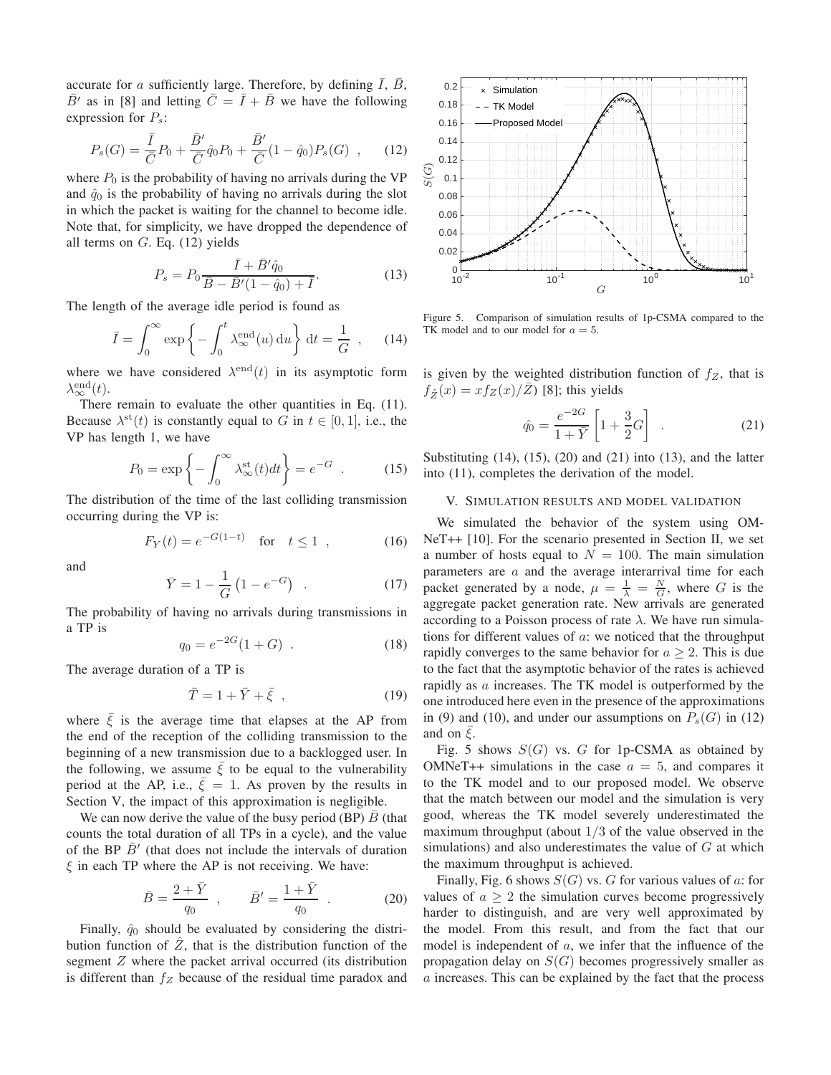accurate for a sufficiently large. Therefore, by defining  $\overline{I}$ ,  $\overline{B}$ ,  $\overline{B}$ ' as in [8] and letting  $\overline{C} = \overline{I} + \overline{B}$  we have the following expression for  $P_s$ :

$$
P_s(G) = \frac{\bar{I}}{\bar{C}}P_0 + \frac{\bar{B}'}{\bar{C}}\hat{q}_0P_0 + \frac{\bar{B}'}{\bar{C}}(1 - \hat{q}_0)P_s(G) ,\qquad(12)
$$

where  $P_0$  is the probability of having no arrivals during the VP and  $\hat{q}_0$  is the probability of having no arrivals during the slot in which the packet is waiting for the channel to become idle. Note that, for simplicity, we have dropped the dependence of all terms on  $G$ . Eq. (12) yields

$$
P_s = P_0 \frac{\bar{I} + \bar{B}' \hat{q}_0}{\bar{B} - \bar{B}' (1 - \hat{q}_0) + \bar{I}}.
$$
 (13)

The length of the average idle period is found as

$$
\bar{I} = \int_0^\infty \exp\left\{-\int_0^t \lambda_\infty^{\text{end}}(u) \, \mathrm{d}u\right\} \, \mathrm{d}t = \frac{1}{G} \quad , \qquad (14)
$$

where we have considered  $\lambda^{\text{end}}(t)$  in its asymptotic form  $\lambda_\infty^{\text{end}}(t)$ .

There remain to evaluate the other quantities in Eq. (11). Because  $\lambda^{\text{st}}(t)$  is constantly equal to G in  $t \in [0, 1]$ , i.e., the VP has length 1, we have

$$
P_0 = \exp\left\{-\int_0^\infty \lambda_\infty^{\text{st}}(t)dt\right\} = e^{-G} \quad . \tag{15}
$$

The distribution of the time of the last colliding transmission occurring during the VP is:

$$
F_Y(t) = e^{-G(1-t)} \quad \text{for} \quad t \le 1 \quad , \tag{16}
$$

and

$$
\bar{Y} = 1 - \frac{1}{G} \left( 1 - e^{-G} \right) \quad . \tag{17}
$$

The probability of having no arrivals during transmissions in a TP is

$$
q_0 = e^{-2G}(1+G) \t . \t (18)
$$

The average duration of a TP is

$$
\bar{T} = 1 + \bar{Y} + \bar{\xi} \tag{19}
$$

where  $\bar{\xi}$  is the average time that elapses at the AP from the end of the reception of the colliding transmission to the beginning of a new transmission due to a backlogged user. In the following, we assume  $\xi$  to be equal to the vulnerability period at the AP, i.e.,  $\bar{\xi} = 1$ . As proven by the results in Section V, the impact of this approximation is negligible.

We can now derive the value of the busy period (BP)  $B$  (that counts the total duration of all TPs in a cycle), and the value of the BP  $\bar{B}'$  (that does not include the intervals of duration  $\xi$  in each TP where the AP is not receiving. We have:

$$
\bar{B} = \frac{2 + \bar{Y}}{q_0} , \qquad \bar{B}' = \frac{1 + \bar{Y}}{q_0} .
$$
 (20)

Finally,  $\hat{q}_0$  should be evaluated by considering the distribution function of  $Z$ , that is the distribution function of the segment Z where the packet arrival occurred (its distribution is different than  $f_Z$  because of the residual time paradox and



Figure 5. Comparison of simulation results of 1p-CSMA compared to the TK model and to our model for  $a = 5$ .

is given by the weighted distribution function of  $f_Z$ , that is  $f_{\hat{Z}}(x) = x f_Z(x)/\overline{Z}$  [8]; this yields

$$
\hat{q}_0 = \frac{e^{-2G}}{1 + \bar{Y}} \left[ 1 + \frac{3}{2} G \right] .
$$
 (21)

Substituting  $(14)$ ,  $(15)$ ,  $(20)$  and  $(21)$  into  $(13)$ , and the latter into (11), completes the derivation of the model.

## V. SIMULATION RESULTS AND MODEL VALIDATION

We simulated the behavior of the system using OM-NeT++ [10]. For the scenario presented in Section II, we set a number of hosts equal to  $N = 100$ . The main simulation parameters are  $a$  and the average interarrival time for each packet generated by a node,  $\mu = \frac{1}{\lambda} = \frac{N}{G}$ , where G is the aggregate packet generation rate. New arrivals are generated according to a Poisson process of rate  $\lambda$ . We have run simulations for different values of  $a$ : we noticed that the throughput rapidly converges to the same behavior for  $a > 2$ . This is due to the fact that the asymptotic behavior of the rates is achieved rapidly as a increases. The TK model is outperformed by the one introduced here even in the presence of the approximations in (9) and (10), and under our assumptions on  $P_s(G)$  in (12) and on  $\xi$ .

Fig. 5 shows  $S(G)$  vs. G for 1p-CSMA as obtained by OMNeT++ simulations in the case  $a = 5$ , and compares it to the TK model and to our proposed model. We observe that the match between our model and the simulation is very good, whereas the TK model severely underestimated the maximum throughput (about  $1/3$  of the value observed in the simulations) and also underestimates the value of  $G$  at which the maximum throughput is achieved.

Finally, Fig. 6 shows  $S(G)$  vs. G for various values of a: for values of  $a \geq 2$  the simulation curves become progressively harder to distinguish, and are very well approximated by the model. From this result, and from the fact that our model is independent of a, we infer that the influence of the propagation delay on  $S(G)$  becomes progressively smaller as a increases. This can be explained by the fact that the process